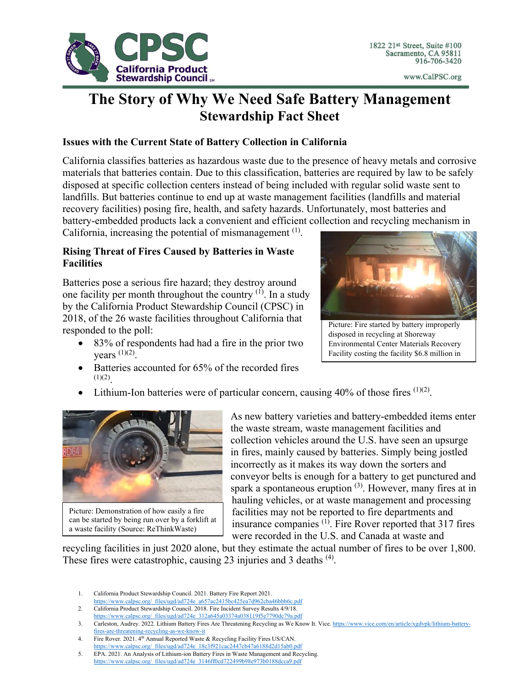

# **The Story of Why We Need Safe Battery Management Stewardship Fact Sheet**

## **Issues with the Current State of Battery Collection in California**

California classifies batteries as hazardous waste due to the presence of heavy metals and corrosive materials that batteries contain. Due to this classification, batteries are required by law to be safely disposed at specific collection centers instead of being included with regular solid waste sent to landfills. But batteries continue to end up at waste management facilities (landfills and material recovery facilities) posing fire, health, and safety hazards. Unfortunately, most batteries and battery-embedded products lack a convenient and efficient collection and recycling mechanism in

California, increasing the potential of mismanagement  $<sup>(1)</sup>$ .</sup>

# **Rising Threat of Fires Caused by Batteries in Waste Facilities**

Batteries pose a serious fire hazard; they destroy around one facility per month throughout the country  $(1)$ . In a study by the California Product Stewardship Council (CPSC) in 2018, of the 26 waste facilities throughout California that responded to the poll:

- 83% of respondents had had a fire in the prior two vears  $(1)(2)$ .
	- Batteries accounted for 65% of the recorded fires



Picture: Fire started by battery improperly disposed in recycling at Shoreway Environmental Center Materials Recovery Facility costing the facility \$6.8 million in

Lithium-Ion batteries were of particular concern, causing  $40\%$  of those fires  $(1)(2)$ .



 $(1)(2)$ 

Picture: Demonstration of how easily a fire can be started by being run over by a forklift at a waste facility (Source: ReThinkWaste)

As new battery varieties and battery-embedded items enter the waste stream, waste management facilities and collection vehicles around the U.S. have seen an upsurge in fires, mainly caused by batteries. Simply being jostled incorrectly as it makes its way down the sorters and conveyor belts is enough for a battery to get punctured and spark a spontaneous eruption  $(3)$ . However, many fires at in hauling vehicles, or at waste management and processing facilities may not be reported to fire departments and insurance companies<sup>(1)</sup>. Fire Rover reported that 317 fires were recorded in the U.S. and Canada at waste and

recycling facilities in just 2020 alone, but they estimate the actual number of fires to be over 1,800. These fires were catastrophic, causing 23 injuries and 3 deaths <sup>(4)</sup>.

- 1. California Product Stewardship Council. 2021. Battery Fire Report 2021.
- [https://www.calpsc.org/\\_files/ugd/ad724e\\_a657ac2415bc425ea7d962cba46bbb6c.pdf](https://www.calpsc.org/_files/ugd/ad724e_a657ac2415bc425ea7d962cba46bbb6c.pdf)
- 2. California Product Stewardship Council. 2018. Fire Incident Survey Results 4/9/18. [https://www.calpsc.org/\\_files/ugd/ad724e\\_312a645a03374a038119f5e7790dc79a.pdf](https://www.calpsc.org/_files/ugd/ad724e_312a645a03374a038119f5e7790dc79a.pdf)
- 3. Carleston, Audrey. 2022. Lithium Battery Fires Are Threatening Recycling as We Know It. Vice[. https://www.vice.com/en/article/xgdvpk/lithium-battery](https://www.vice.com/en/article/xgdvpk/lithium-battery-fires-are-threatening-recycling-as-we-know-it)[fires-are-threatening-recycling-as-we-know-it](https://www.vice.com/en/article/xgdvpk/lithium-battery-fires-are-threatening-recycling-as-we-know-it)
- 4. Fire Rover. 2021. 4<sup>th</sup> Annual Reported Waste & Recycling Facility Fires US/CAN. [https://www.calpsc.org/\\_files/ugd/ad724e\\_18c3f921cac2447cb47a6188d2d15ab0.pdf](https://www.calpsc.org/_files/ugd/ad724e_18c3f921cac2447cb47a6188d2d15ab0.pdf)
- 5. EPA. 2021. An Analysis of Lithium-ion Battery Fires in Waste Management and Recycling. [https://www.calpsc.org/\\_files/ugd/ad724e\\_3146ff0cd722499b98e973b0188dcca9.pdf](https://www.calpsc.org/_files/ugd/ad724e_3146ff0cd722499b98e973b0188dcca9.pdf)